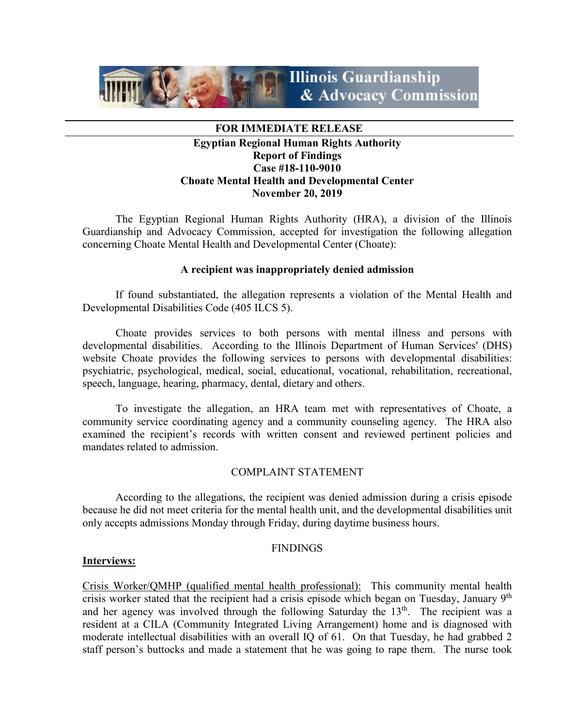

#### **FOR IMMEDIATE RELEASE**

# **Egyptian Regional Human Rights Authority Report of Findings Case #18-110-9010 Choate Mental Health and Developmental Center November 20, 2019**

The Egyptian Regional Human Rights Authority (HRA), a division of the Illinois Guardianship and Advocacy Commission, accepted for investigation the following allegation concerning Choate Mental Health and Developmental Center (Choate):

#### **A recipient was inappropriately denied admission**

If found substantiated, the allegation represents a violation of the Mental Health and Developmental Disabilities Code (405 ILCS 5).

Choate provides services to both persons with mental illness and persons with developmental disabilities. According to the Illinois Department of Human Services' (DHS) website Choate provides the following services to persons with developmental disabilities: psychiatric, psychological, medical, social, educational, vocational, rehabilitation, recreational, speech, language, hearing, pharmacy, dental, dietary and others.

To investigate the allegation, an HRA team met with representatives of Choate, a community service coordinating agency and a community counseling agency. The HRA also examined the recipient's records with written consent and reviewed pertinent policies and mandates related to admission.

## COMPLAINT STATEMENT

According to the allegations, the recipient was denied admission during a crisis episode because he did not meet criteria for the mental health unit, and the developmental disabilities unit only accepts admissions Monday through Friday, during daytime business hours.

#### **FINDINGS**

#### **Interviews:**

Crisis Worker/QMHP (qualified mental health professional): This community mental health crisis worker stated that the recipient had a crisis episode which began on Tuesday, January 9<sup>th</sup> and her agency was involved through the following Saturday the  $13<sup>th</sup>$ . The recipient was a resident at a CILA (Community Integrated Living Arrangement) home and is diagnosed with moderate intellectual disabilities with an overall IQ of 61. On that Tuesday, he had grabbed 2 staff person's buttocks and made a statement that he was going to rape them. The nurse took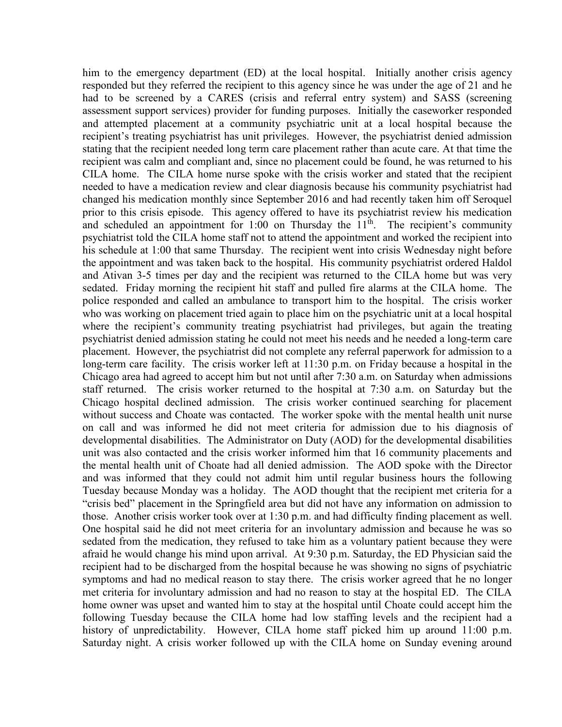him to the emergency department (ED) at the local hospital. Initially another crisis agency responded but they referred the recipient to this agency since he was under the age of 21 and he had to be screened by a CARES (crisis and referral entry system) and SASS (screening assessment support services) provider for funding purposes. Initially the caseworker responded and attempted placement at a community psychiatric unit at a local hospital because the recipient's treating psychiatrist has unit privileges. However, the psychiatrist denied admission stating that the recipient needed long term care placement rather than acute care. At that time the recipient was calm and compliant and, since no placement could be found, he was returned to his CILA home. The CILA home nurse spoke with the crisis worker and stated that the recipient needed to have a medication review and clear diagnosis because his community psychiatrist had changed his medication monthly since September 2016 and had recently taken him off Seroquel prior to this crisis episode. This agency offered to have its psychiatrist review his medication and scheduled an appointment for 1:00 on Thursday the  $11<sup>th</sup>$ . The recipient's community psychiatrist told the CILA home staff not to attend the appointment and worked the recipient into his schedule at 1:00 that same Thursday. The recipient went into crisis Wednesday night before the appointment and was taken back to the hospital.His community psychiatrist ordered Haldol and Ativan 3-5 times per day and the recipient was returned to the CILA home but was very sedated. Friday morning the recipient hit staff and pulled fire alarms at the CILA home. The police responded and called an ambulance to transport him to the hospital. The crisis worker who was working on placement tried again to place him on the psychiatric unit at a local hospital where the recipient's community treating psychiatrist had privileges, but again the treating psychiatrist denied admission stating he could not meet his needs and he needed a long-term care placement. However, the psychiatrist did not complete any referral paperwork for admission to a long-term care facility. The crisis worker left at 11:30 p.m. on Friday because a hospital in the Chicago area had agreed to accept him but not until after 7:30 a.m. on Saturday when admissions staff returned. The crisis worker returned to the hospital at 7:30 a.m. on Saturday but the Chicago hospital declined admission. The crisis worker continued searching for placement without success and Choate was contacted. The worker spoke with the mental health unit nurse on call and was informed he did not meet criteria for admission due to his diagnosis of developmental disabilities. The Administrator on Duty (AOD) for the developmental disabilities unit was also contacted and the crisis worker informed him that 16 community placements and the mental health unit of Choate had all denied admission. The AOD spoke with the Director and was informed that they could not admit him until regular business hours the following Tuesday because Monday was a holiday. The AOD thought that the recipient met criteria for a "crisis bed" placement in the Springfield area but did not have any information on admission to those. Another crisis worker took over at 1:30 p.m. and had difficulty finding placement as well. One hospital said he did not meet criteria for an involuntary admission and because he was so sedated from the medication, they refused to take him as a voluntary patient because they were afraid he would change his mind upon arrival. At 9:30 p.m. Saturday, the ED Physician said the recipient had to be discharged from the hospital because he was showing no signs of psychiatric symptoms and had no medical reason to stay there. The crisis worker agreed that he no longer met criteria for involuntary admission and had no reason to stay at the hospital ED. The CILA home owner was upset and wanted him to stay at the hospital until Choate could accept him the following Tuesday because the CILA home had low staffing levels and the recipient had a history of unpredictability. However, CILA home staff picked him up around 11:00 p.m. Saturday night. A crisis worker followed up with the CILA home on Sunday evening around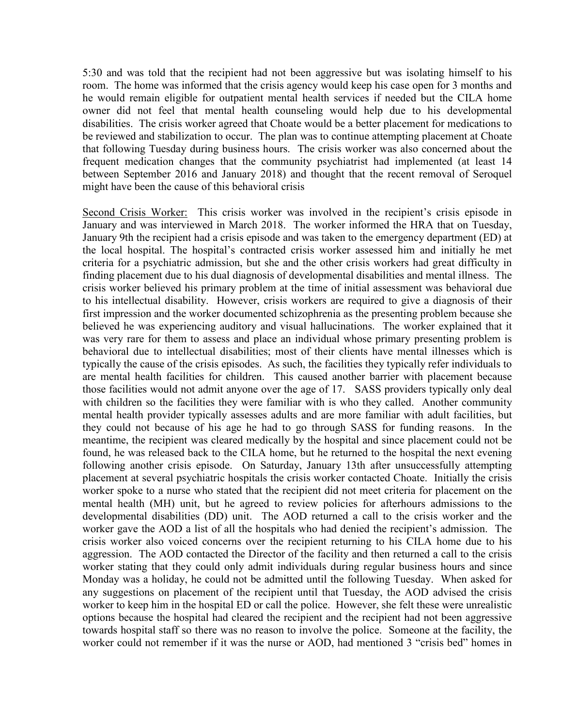5:30 and was told that the recipient had not been aggressive but was isolating himself to his room. The home was informed that the crisis agency would keep his case open for 3 months and he would remain eligible for outpatient mental health services if needed but the CILA home owner did not feel that mental health counseling would help due to his developmental disabilities. The crisis worker agreed that Choate would be a better placement for medications to be reviewed and stabilization to occur. The plan was to continue attempting placement at Choate that following Tuesday during business hours. The crisis worker was also concerned about the frequent medication changes that the community psychiatrist had implemented (at least 14 between September 2016 and January 2018) and thought that the recent removal of Seroquel might have been the cause of this behavioral crisis

Second Crisis Worker: This crisis worker was involved in the recipient's crisis episode in January and was interviewed in March 2018. The worker informed the HRA that on Tuesday, January 9th the recipient had a crisis episode and was taken to the emergency department (ED) at the local hospital. The hospital's contracted crisis worker assessed him and initially he met criteria for a psychiatric admission, but she and the other crisis workers had great difficulty in finding placement due to his dual diagnosis of developmental disabilities and mental illness. The crisis worker believed his primary problem at the time of initial assessment was behavioral due to his intellectual disability. However, crisis workers are required to give a diagnosis of their first impression and the worker documented schizophrenia as the presenting problem because she believed he was experiencing auditory and visual hallucinations. The worker explained that it was very rare for them to assess and place an individual whose primary presenting problem is behavioral due to intellectual disabilities; most of their clients have mental illnesses which is typically the cause of the crisis episodes. As such, the facilities they typically refer individuals to are mental health facilities for children. This caused another barrier with placement because those facilities would not admit anyone over the age of 17. SASS providers typically only deal with children so the facilities they were familiar with is who they called. Another community mental health provider typically assesses adults and are more familiar with adult facilities, but they could not because of his age he had to go through SASS for funding reasons. In the meantime, the recipient was cleared medically by the hospital and since placement could not be found, he was released back to the CILA home, but he returned to the hospital the next evening following another crisis episode. On Saturday, January 13th after unsuccessfully attempting placement at several psychiatric hospitals the crisis worker contacted Choate. Initially the crisis worker spoke to a nurse who stated that the recipient did not meet criteria for placement on the mental health (MH) unit, but he agreed to review policies for afterhours admissions to the developmental disabilities (DD) unit. The AOD returned a call to the crisis worker and the worker gave the AOD a list of all the hospitals who had denied the recipient's admission. The crisis worker also voiced concerns over the recipient returning to his CILA home due to his aggression. The AOD contacted the Director of the facility and then returned a call to the crisis worker stating that they could only admit individuals during regular business hours and since Monday was a holiday, he could not be admitted until the following Tuesday. When asked for any suggestions on placement of the recipient until that Tuesday, the AOD advised the crisis worker to keep him in the hospital ED or call the police. However, she felt these were unrealistic options because the hospital had cleared the recipient and the recipient had not been aggressive towards hospital staff so there was no reason to involve the police. Someone at the facility, the worker could not remember if it was the nurse or AOD, had mentioned 3 "crisis bed" homes in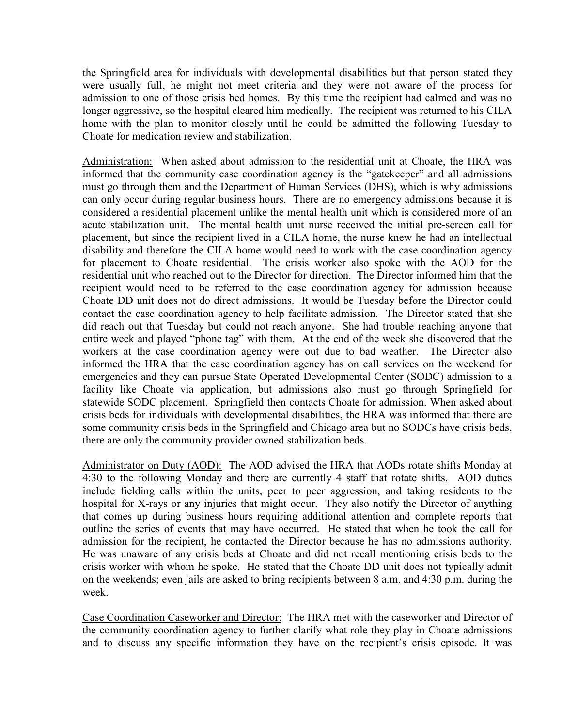the Springfield area for individuals with developmental disabilities but that person stated they were usually full, he might not meet criteria and they were not aware of the process for admission to one of those crisis bed homes. By this time the recipient had calmed and was no longer aggressive, so the hospital cleared him medically. The recipient was returned to his CILA home with the plan to monitor closely until he could be admitted the following Tuesday to Choate for medication review and stabilization.

Administration: When asked about admission to the residential unit at Choate, the HRA was informed that the community case coordination agency is the "gatekeeper" and all admissions must go through them and the Department of Human Services (DHS), which is why admissions can only occur during regular business hours. There are no emergency admissions because it is considered a residential placement unlike the mental health unit which is considered more of an acute stabilization unit. The mental health unit nurse received the initial pre-screen call for placement, but since the recipient lived in a CILA home, the nurse knew he had an intellectual disability and therefore the CILA home would need to work with the case coordination agency for placement to Choate residential. The crisis worker also spoke with the AOD for the residential unit who reached out to the Director for direction. The Director informed him that the recipient would need to be referred to the case coordination agency for admission because Choate DD unit does not do direct admissions. It would be Tuesday before the Director could contact the case coordination agency to help facilitate admission. The Director stated that she did reach out that Tuesday but could not reach anyone. She had trouble reaching anyone that entire week and played "phone tag" with them. At the end of the week she discovered that the workers at the case coordination agency were out due to bad weather. The Director also informed the HRA that the case coordination agency has on call services on the weekend for emergencies and they can pursue State Operated Developmental Center (SODC) admission to a facility like Choate via application, but admissions also must go through Springfield for statewide SODC placement. Springfield then contacts Choate for admission. When asked about crisis beds for individuals with developmental disabilities, the HRA was informed that there are some community crisis beds in the Springfield and Chicago area but no SODCs have crisis beds, there are only the community provider owned stabilization beds.

Administrator on Duty (AOD): The AOD advised the HRA that AODs rotate shifts Monday at 4:30 to the following Monday and there are currently 4 staff that rotate shifts. AOD duties include fielding calls within the units, peer to peer aggression, and taking residents to the hospital for X-rays or any injuries that might occur. They also notify the Director of anything that comes up during business hours requiring additional attention and complete reports that outline the series of events that may have occurred. He stated that when he took the call for admission for the recipient, he contacted the Director because he has no admissions authority. He was unaware of any crisis beds at Choate and did not recall mentioning crisis beds to the crisis worker with whom he spoke. He stated that the Choate DD unit does not typically admit on the weekends; even jails are asked to bring recipients between 8 a.m. and 4:30 p.m. during the week.

Case Coordination Caseworker and Director: The HRA met with the caseworker and Director of the community coordination agency to further clarify what role they play in Choate admissions and to discuss any specific information they have on the recipient's crisis episode. It was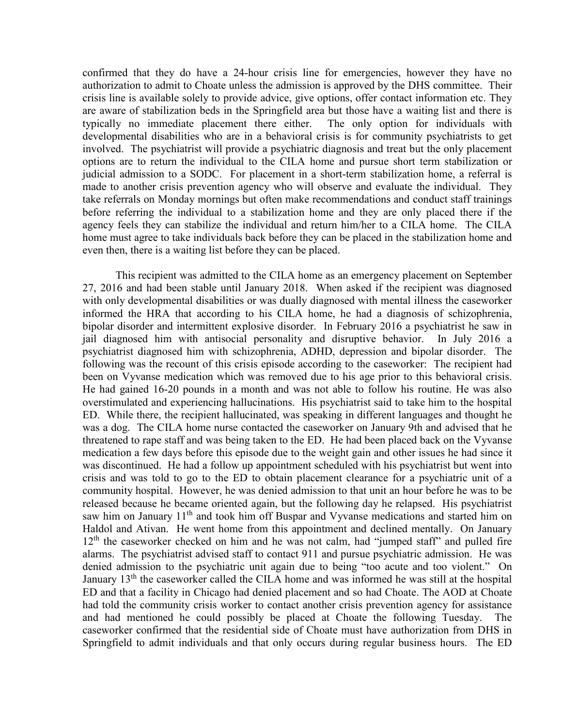confirmed that they do have a 24-hour crisis line for emergencies, however they have no authorization to admit to Choate unless the admission is approved by the DHS committee. Their crisis line is available solely to provide advice, give options, offer contact information etc. They are aware of stabilization beds in the Springfield area but those have a waiting list and there is typically no immediate placement there either. The only option for individuals with developmental disabilities who are in a behavioral crisis is for community psychiatrists to get involved. The psychiatrist will provide a psychiatric diagnosis and treat but the only placement options are to return the individual to the CILA home and pursue short term stabilization or judicial admission to a SODC. For placement in a short-term stabilization home, a referral is made to another crisis prevention agency who will observe and evaluate the individual. They take referrals on Monday mornings but often make recommendations and conduct staff trainings before referring the individual to a stabilization home and they are only placed there if the agency feels they can stabilize the individual and return him/her to a CILA home. The CILA home must agree to take individuals back before they can be placed in the stabilization home and even then, there is a waiting list before they can be placed.

This recipient was admitted to the CILA home as an emergency placement on September 27, 2016 and had been stable until January 2018. When asked if the recipient was diagnosed with only developmental disabilities or was dually diagnosed with mental illness the caseworker informed the HRA that according to his CILA home, he had a diagnosis of schizophrenia, bipolar disorder and intermittent explosive disorder. In February 2016 a psychiatrist he saw in jail diagnosed him with antisocial personality and disruptive behavior. In July 2016 a psychiatrist diagnosed him with schizophrenia, ADHD, depression and bipolar disorder. The following was the recount of this crisis episode according to the caseworker: The recipient had been on Vyvanse medication which was removed due to his age prior to this behavioral crisis. He had gained 16-20 pounds in a month and was not able to follow his routine. He was also overstimulated and experiencing hallucinations. His psychiatrist said to take him to the hospital ED. While there, the recipient hallucinated, was speaking in different languages and thought he was a dog. The CILA home nurse contacted the caseworker on January 9th and advised that he threatened to rape staff and was being taken to the ED. He had been placed back on the Vyvanse medication a few days before this episode due to the weight gain and other issues he had since it was discontinued. He had a follow up appointment scheduled with his psychiatrist but went into crisis and was told to go to the ED to obtain placement clearance for a psychiatric unit of a community hospital. However, he was denied admission to that unit an hour before he was to be released because he became oriented again, but the following day he relapsed. His psychiatrist saw him on January 11<sup>th</sup> and took him off Buspar and Vyvanse medications and started him on Haldol and Ativan. He went home from this appointment and declined mentally. On January  $12<sup>th</sup>$  the caseworker checked on him and he was not calm, had "jumped staff" and pulled fire alarms. The psychiatrist advised staff to contact 911 and pursue psychiatric admission. He was denied admission to the psychiatric unit again due to being "too acute and too violent." On January  $13<sup>th</sup>$  the caseworker called the CILA home and was informed he was still at the hospital ED and that a facility in Chicago had denied placement and so had Choate. The AOD at Choate had told the community crisis worker to contact another crisis prevention agency for assistance and had mentioned he could possibly be placed at Choate the following Tuesday. The caseworker confirmed that the residential side of Choate must have authorization from DHS in Springfield to admit individuals and that only occurs during regular business hours. The ED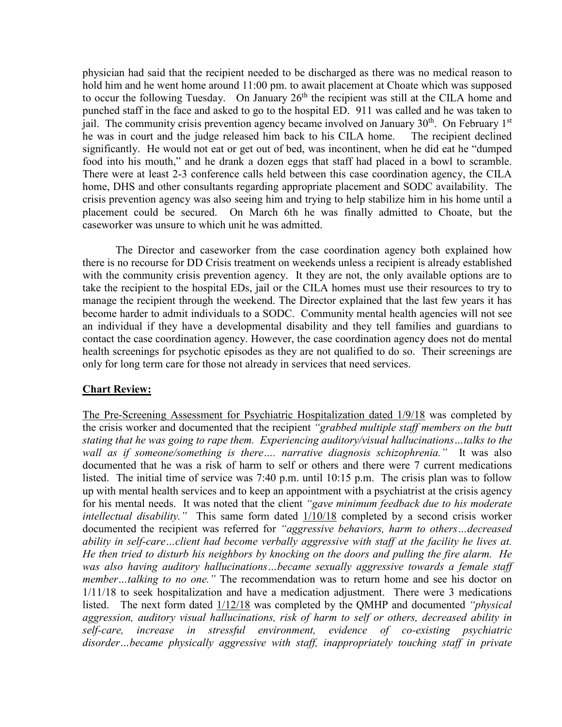physician had said that the recipient needed to be discharged as there was no medical reason to hold him and he went home around 11:00 pm. to await placement at Choate which was supposed to occur the following Tuesday. On January  $26<sup>th</sup>$  the recipient was still at the CILA home and punched staff in the face and asked to go to the hospital ED. 911 was called and he was taken to jail. The community crisis prevention agency became involved on January  $30<sup>th</sup>$ . On February 1<sup>st</sup> he was in court and the judge released him back to his CILA home. The recipient declined significantly. He would not eat or get out of bed, was incontinent, when he did eat he "dumped food into his mouth," and he drank a dozen eggs that staff had placed in a bowl to scramble. There were at least 2-3 conference calls held between this case coordination agency, the CILA home, DHS and other consultants regarding appropriate placement and SODC availability. The crisis prevention agency was also seeing him and trying to help stabilize him in his home until a placement could be secured. On March 6th he was finally admitted to Choate, but the caseworker was unsure to which unit he was admitted.

The Director and caseworker from the case coordination agency both explained how there is no recourse for DD Crisis treatment on weekends unless a recipient is already established with the community crisis prevention agency. It they are not, the only available options are to take the recipient to the hospital EDs, jail or the CILA homes must use their resources to try to manage the recipient through the weekend. The Director explained that the last few years it has become harder to admit individuals to a SODC. Community mental health agencies will not see an individual if they have a developmental disability and they tell families and guardians to contact the case coordination agency. However, the case coordination agency does not do mental health screenings for psychotic episodes as they are not qualified to do so. Their screenings are only for long term care for those not already in services that need services.

## **Chart Review:**

The Pre-Screening Assessment for Psychiatric Hospitalization dated 1/9/18 was completed by the crisis worker and documented that the recipient *"grabbed multiple staff members on the butt stating that he was going to rape them. Experiencing auditory/visual hallucinations…talks to the wall as if someone/something is there…. narrative diagnosis schizophrenia."* It was also documented that he was a risk of harm to self or others and there were 7 current medications listed. The initial time of service was 7:40 p.m. until 10:15 p.m. The crisis plan was to follow up with mental health services and to keep an appointment with a psychiatrist at the crisis agency for his mental needs. It was noted that the client *"gave minimum feedback due to his moderate intellectual disability."* This same form dated 1/10/18 completed by a second crisis worker documented the recipient was referred for *"aggressive behaviors, harm to others…decreased ability in self-care…client had become verbally aggressive with staff at the facility he lives at. He then tried to disturb his neighbors by knocking on the doors and pulling the fire alarm. He*  was also having auditory hallucinations...became sexually aggressive towards a female staff *member…talking to no one."* The recommendation was to return home and see his doctor on 1/11/18 to seek hospitalization and have a medication adjustment. There were 3 medications listed. The next form dated 1/12/18 was completed by the QMHP and documented *"physical aggression, auditory visual hallucinations, risk of harm to self or others, decreased ability in self-care, increase in stressful environment, evidence of co-existing psychiatric disorder…became physically aggressive with staff, inappropriately touching staff in private*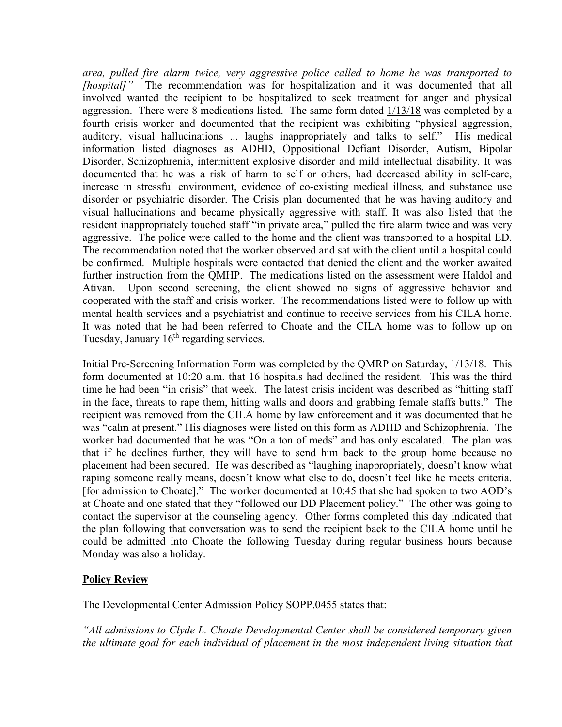*area, pulled fire alarm twice, very aggressive police called to home he was transported to [hospital]"* The recommendation was for hospitalization and it was documented that all involved wanted the recipient to be hospitalized to seek treatment for anger and physical aggression. There were 8 medications listed. The same form dated  $1/13/18$  was completed by a fourth crisis worker and documented that the recipient was exhibiting "physical aggression, auditory, visual hallucinations ... laughs inappropriately and talks to self." His medical information listed diagnoses as ADHD, Oppositional Defiant Disorder, Autism, Bipolar Disorder, Schizophrenia, intermittent explosive disorder and mild intellectual disability. It was documented that he was a risk of harm to self or others, had decreased ability in self-care, increase in stressful environment, evidence of co-existing medical illness, and substance use disorder or psychiatric disorder. The Crisis plan documented that he was having auditory and visual hallucinations and became physically aggressive with staff. It was also listed that the resident inappropriately touched staff "in private area," pulled the fire alarm twice and was very aggressive. The police were called to the home and the client was transported to a hospital ED. The recommendation noted that the worker observed and sat with the client until a hospital could be confirmed. Multiple hospitals were contacted that denied the client and the worker awaited further instruction from the QMHP. The medications listed on the assessment were Haldol and Ativan. Upon second screening, the client showed no signs of aggressive behavior and cooperated with the staff and crisis worker. The recommendations listed were to follow up with mental health services and a psychiatrist and continue to receive services from his CILA home. It was noted that he had been referred to Choate and the CILA home was to follow up on Tuesday, January  $16<sup>th</sup>$  regarding services.

Initial Pre-Screening Information Form was completed by the QMRP on Saturday, 1/13/18. This form documented at 10:20 a.m. that 16 hospitals had declined the resident. This was the third time he had been "in crisis" that week. The latest crisis incident was described as "hitting staff in the face, threats to rape them, hitting walls and doors and grabbing female staffs butts." The recipient was removed from the CILA home by law enforcement and it was documented that he was "calm at present." His diagnoses were listed on this form as ADHD and Schizophrenia. The worker had documented that he was "On a ton of meds" and has only escalated. The plan was that if he declines further, they will have to send him back to the group home because no placement had been secured. He was described as "laughing inappropriately, doesn't know what raping someone really means, doesn't know what else to do, doesn't feel like he meets criteria. [for admission to Choate]." The worker documented at 10:45 that she had spoken to two AOD's at Choate and one stated that they "followed our DD Placement policy." The other was going to contact the supervisor at the counseling agency. Other forms completed this day indicated that the plan following that conversation was to send the recipient back to the CILA home until he could be admitted into Choate the following Tuesday during regular business hours because Monday was also a holiday.

## **Policy Review**

## The Developmental Center Admission Policy SOPP.0455 states that:

*"All admissions to Clyde L. Choate Developmental Center shall be considered temporary given the ultimate goal for each individual of placement in the most independent living situation that*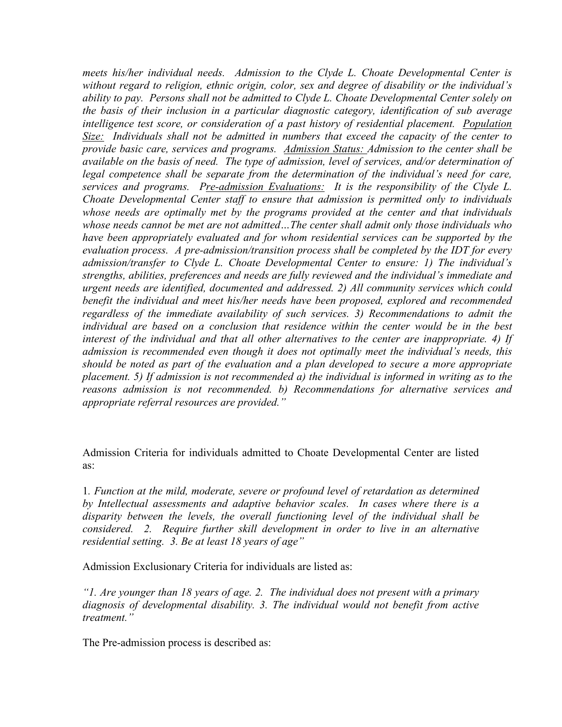*meets his/her individual needs. Admission to the Clyde L. Choate Developmental Center is without regard to religion, ethnic origin, color, sex and degree of disability or the individual's ability to pay. Persons shall not be admitted to Clyde L. Choate Developmental Center solely on the basis of their inclusion in a particular diagnostic category, identification of sub average intelligence test score, or consideration of a past history of residential placement. Population Size: Individuals shall not be admitted in numbers that exceed the capacity of the center to provide basic care, services and programs. Admission Status: Admission to the center shall be available on the basis of need. The type of admission, level of services, and/or determination of legal competence shall be separate from the determination of the individual's need for care, services and programs. Pre-admission Evaluations: It is the responsibility of the Clyde L. Choate Developmental Center staff to ensure that admission is permitted only to individuals whose needs are optimally met by the programs provided at the center and that individuals whose needs cannot be met are not admitted…The center shall admit only those individuals who have been appropriately evaluated and for whom residential services can be supported by the evaluation process. A pre-admission/transition process shall be completed by the IDT for every admission/transfer to Clyde L. Choate Developmental Center to ensure: 1) The individual's strengths, abilities, preferences and needs are fully reviewed and the individual's immediate and urgent needs are identified, documented and addressed. 2) All community services which could benefit the individual and meet his/her needs have been proposed, explored and recommended regardless of the immediate availability of such services. 3) Recommendations to admit the individual are based on a conclusion that residence within the center would be in the best interest of the individual and that all other alternatives to the center are inappropriate. 4) If admission is recommended even though it does not optimally meet the individual's needs, this should be noted as part of the evaluation and a plan developed to secure a more appropriate placement. 5) If admission is not recommended a) the individual is informed in writing as to the reasons admission is not recommended. b) Recommendations for alternative services and appropriate referral resources are provided."*

Admission Criteria for individuals admitted to Choate Developmental Center are listed as:

1*. Function at the mild, moderate, severe or profound level of retardation as determined by Intellectual assessments and adaptive behavior scales. In cases where there is a disparity between the levels, the overall functioning level of the individual shall be considered. 2. Require further skill development in order to live in an alternative residential setting. 3. Be at least 18 years of age"*

Admission Exclusionary Criteria for individuals are listed as:

*"1. Are younger than 18 years of age. 2. The individual does not present with a primary diagnosis of developmental disability. 3. The individual would not benefit from active treatment."*

The Pre-admission process is described as: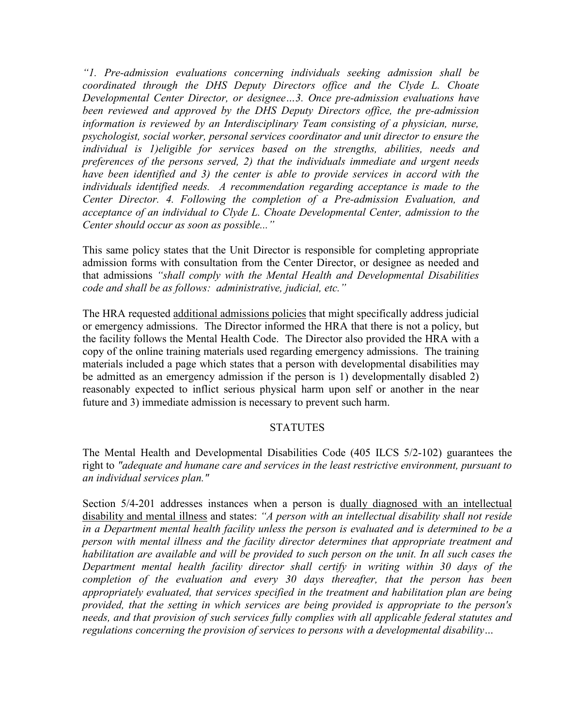*"1. Pre-admission evaluations concerning individuals seeking admission shall be coordinated through the DHS Deputy Directors office and the Clyde L. Choate Developmental Center Director, or designee…3. Once pre-admission evaluations have been reviewed and approved by the DHS Deputy Directors office, the pre-admission information is reviewed by an Interdisciplinary Team consisting of a physician, nurse, psychologist, social worker, personal services coordinator and unit director to ensure the individual is 1)eligible for services based on the strengths, abilities, needs and preferences of the persons served, 2) that the individuals immediate and urgent needs have been identified and 3) the center is able to provide services in accord with the individuals identified needs. A recommendation regarding acceptance is made to the Center Director. 4. Following the completion of a Pre-admission Evaluation, and acceptance of an individual to Clyde L. Choate Developmental Center, admission to the Center should occur as soon as possible..."*

This same policy states that the Unit Director is responsible for completing appropriate admission forms with consultation from the Center Director, or designee as needed and that admissions *"shall comply with the Mental Health and Developmental Disabilities code and shall be as follows: administrative, judicial, etc."*

The HRA requested additional admissions policies that might specifically address judicial or emergency admissions. The Director informed the HRA that there is not a policy, but the facility follows the Mental Health Code. The Director also provided the HRA with a copy of the online training materials used regarding emergency admissions. The training materials included a page which states that a person with developmental disabilities may be admitted as an emergency admission if the person is 1) developmentally disabled 2) reasonably expected to inflict serious physical harm upon self or another in the near future and 3) immediate admission is necessary to prevent such harm.

## STATUTES

The Mental Health and Developmental Disabilities Code (405 ILCS 5/2-102) guarantees the right to *"adequate and humane care and services in the least restrictive environment, pursuant to an individual services plan."*

Section 5/4-201 addresses instances when a person is dually diagnosed with an intellectual disability and mental illness and states: *"A person with an intellectual disability shall not reside in a Department mental health facility unless the person is evaluated and is determined to be a person with mental illness and the facility director determines that appropriate treatment and habilitation are available and will be provided to such person on the unit. In all such cases the Department mental health facility director shall certify in writing within 30 days of the completion of the evaluation and every 30 days thereafter, that the person has been appropriately evaluated, that services specified in the treatment and habilitation plan are being provided, that the setting in which services are being provided is appropriate to the person's needs, and that provision of such services fully complies with all applicable federal statutes and regulations concerning the provision of services to persons with a developmental disability…*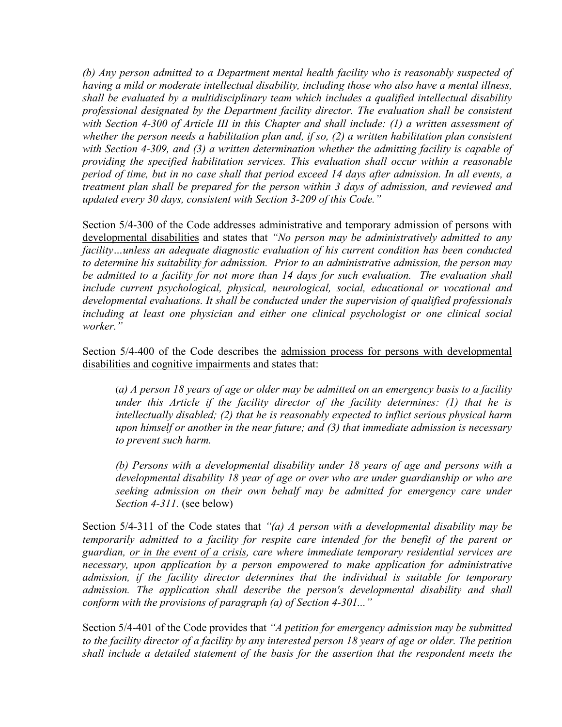*(b) Any person admitted to a Department mental health facility who is reasonably suspected of having a mild or moderate intellectual disability, including those who also have a mental illness, shall be evaluated by a multidisciplinary team which includes a qualified intellectual disability professional designated by the Department facility director. The evaluation shall be consistent with Section 4-300 of Article III in this Chapter and shall include: (1) a written assessment of whether the person needs a habilitation plan and, if so, (2) a written habilitation plan consistent with Section 4-309, and (3) a written determination whether the admitting facility is capable of providing the specified habilitation services. This evaluation shall occur within a reasonable period of time, but in no case shall that period exceed 14 days after admission. In all events, a treatment plan shall be prepared for the person within 3 days of admission, and reviewed and updated every 30 days, consistent with Section 3-209 of this Code."*

Section 5/4-300 of the Code addresses administrative and temporary admission of persons with developmental disabilities and states that *"No person may be administratively admitted to any facility…unless an adequate diagnostic evaluation of his current condition has been conducted to determine his suitability for admission. Prior to an administrative admission, the person may be admitted to a facility for not more than 14 days for such evaluation. The evaluation shall include current psychological, physical, neurological, social, educational or vocational and developmental evaluations. It shall be conducted under the supervision of qualified professionals including at least one physician and either one clinical psychologist or one clinical social worker."*

Section 5/4-400 of the Code describes the admission process for persons with developmental disabilities and cognitive impairments and states that:

(*a) A person 18 years of age or older may be admitted on an emergency basis to a facility under this Article if the facility director of the facility determines: (1) that he is intellectually disabled; (2) that he is reasonably expected to inflict serious physical harm upon himself or another in the near future; and (3) that immediate admission is necessary to prevent such harm.*

*(b) Persons with a developmental disability under 18 years of age and persons with a developmental disability 18 year of age or over who are under guardianship or who are seeking admission on their own behalf may be admitted for emergency care under Section 4-311.* (see below)

Section 5/4-311 of the Code states that *"(a) A person with a developmental disability may be temporarily admitted to a facility for respite care intended for the benefit of the parent or guardian, or in the event of a crisis, care where immediate temporary residential services are necessary, upon application by a person empowered to make application for administrative admission, if the facility director determines that the individual is suitable for temporary admission. The application shall describe the person's developmental disability and shall conform with the provisions of paragraph (a) of Section 4-301..."*

Section 5/4-401 of the Code provides that *"A petition for emergency admission may be submitted to the facility director of a facility by any interested person 18 years of age or older. The petition shall include a detailed statement of the basis for the assertion that the respondent meets the*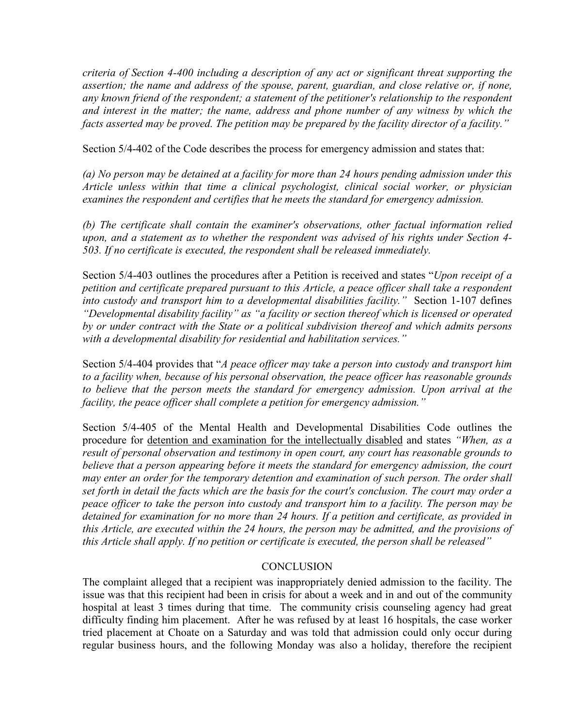*criteria of Section 4-400 including a description of any act or significant threat supporting the*  assertion; the name and address of the spouse, parent, guardian, and close relative or, if none, *any known friend of the respondent; a statement of the petitioner's relationship to the respondent and interest in the matter; the name, address and phone number of any witness by which the facts asserted may be proved. The petition may be prepared by the facility director of a facility."*

Section 5/4-402 of the Code describes the process for emergency admission and states that:

*(a) No person may be detained at a facility for more than 24 hours pending admission under this Article unless within that time a clinical psychologist, clinical social worker, or physician examines the respondent and certifies that he meets the standard for emergency admission.*

*(b) The certificate shall contain the examiner's observations, other factual information relied upon, and a statement as to whether the respondent was advised of his rights under Section 4- 503. If no certificate is executed, the respondent shall be released immediately.*

Section 5/4-403 outlines the procedures after a Petition is received and states "*Upon receipt of a petition and certificate prepared pursuant to this Article, a peace officer shall take a respondent into custody and transport him to a developmental disabilities facility."* Section 1-107 defines *"Developmental disability facility" as "a facility or section thereof which is licensed or operated by or under contract with the State or a political subdivision thereof and which admits persons with a developmental disability for residential and habilitation services."*

Section 5/4-404 provides that "*A peace officer may take a person into custody and transport him to a facility when, because of his personal observation, the peace officer has reasonable grounds to believe that the person meets the standard for emergency admission. Upon arrival at the facility, the peace officer shall complete a petition for emergency admission."*

Section 5/4-405 of the Mental Health and Developmental Disabilities Code outlines the procedure for detention and examination for the intellectually disabled and states *"When, as a result of personal observation and testimony in open court, any court has reasonable grounds to believe that a person appearing before it meets the standard for emergency admission, the court may enter an order for the temporary detention and examination of such person. The order shall set forth in detail the facts which are the basis for the court's conclusion. The court may order a peace officer to take the person into custody and transport him to a facility. The person may be detained for examination for no more than 24 hours. If a petition and certificate, as provided in this Article, are executed within the 24 hours, the person may be admitted, and the provisions of this Article shall apply. If no petition or certificate is executed, the person shall be released"*

#### **CONCLUSION**

The complaint alleged that a recipient was inappropriately denied admission to the facility. The issue was that this recipient had been in crisis for about a week and in and out of the community hospital at least 3 times during that time. The community crisis counseling agency had great difficulty finding him placement. After he was refused by at least 16 hospitals, the case worker tried placement at Choate on a Saturday and was told that admission could only occur during regular business hours, and the following Monday was also a holiday, therefore the recipient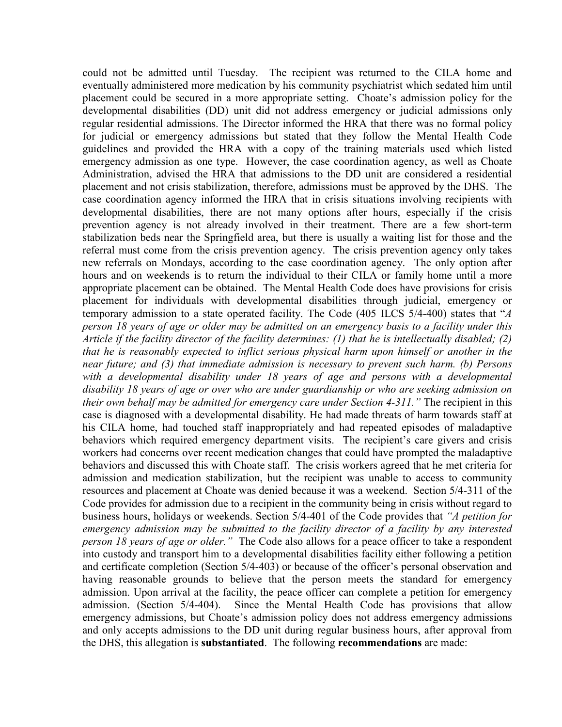could not be admitted until Tuesday. The recipient was returned to the CILA home and eventually administered more medication by his community psychiatrist which sedated him until placement could be secured in a more appropriate setting. Choate's admission policy for the developmental disabilities (DD) unit did not address emergency or judicial admissions only regular residential admissions. The Director informed the HRA that there was no formal policy for judicial or emergency admissions but stated that they follow the Mental Health Code guidelines and provided the HRA with a copy of the training materials used which listed emergency admission as one type. However, the case coordination agency, as well as Choate Administration, advised the HRA that admissions to the DD unit are considered a residential placement and not crisis stabilization, therefore, admissions must be approved by the DHS. The case coordination agency informed the HRA that in crisis situations involving recipients with developmental disabilities, there are not many options after hours, especially if the crisis prevention agency is not already involved in their treatment. There are a few short-term stabilization beds near the Springfield area, but there is usually a waiting list for those and the referral must come from the crisis prevention agency. The crisis prevention agency only takes new referrals on Mondays, according to the case coordination agency. The only option after hours and on weekends is to return the individual to their CILA or family home until a more appropriate placement can be obtained. The Mental Health Code does have provisions for crisis placement for individuals with developmental disabilities through judicial, emergency or temporary admission to a state operated facility. The Code (405 ILCS 5/4-400) states that "*A person 18 years of age or older may be admitted on an emergency basis to a facility under this Article if the facility director of the facility determines: (1) that he is intellectually disabled; (2) that he is reasonably expected to inflict serious physical harm upon himself or another in the near future; and (3) that immediate admission is necessary to prevent such harm. (b) Persons*  with a developmental disability under 18 years of age and persons with a developmental *disability 18 years of age or over who are under guardianship or who are seeking admission on their own behalf may be admitted for emergency care under Section 4-311."* The recipient in this case is diagnosed with a developmental disability. He had made threats of harm towards staff at his CILA home, had touched staff inappropriately and had repeated episodes of maladaptive behaviors which required emergency department visits. The recipient's care givers and crisis workers had concerns over recent medication changes that could have prompted the maladaptive behaviors and discussed this with Choate staff. The crisis workers agreed that he met criteria for admission and medication stabilization, but the recipient was unable to access to community resources and placement at Choate was denied because it was a weekend. Section 5/4-311 of the Code provides for admission due to a recipient in the community being in crisis without regard to business hours, holidays or weekends. Section 5/4-401 of the Code provides that *"A petition for emergency admission may be submitted to the facility director of a facility by any interested person 18 years of age or older."* The Code also allows for a peace officer to take a respondent into custody and transport him to a developmental disabilities facility either following a petition and certificate completion (Section 5/4-403) or because of the officer's personal observation and having reasonable grounds to believe that the person meets the standard for emergency admission. Upon arrival at the facility, the peace officer can complete a petition for emergency admission. (Section 5/4-404). Since the Mental Health Code has provisions that allow emergency admissions, but Choate's admission policy does not address emergency admissions and only accepts admissions to the DD unit during regular business hours, after approval from the DHS, this allegation is **substantiated**. The following **recommendations** are made: